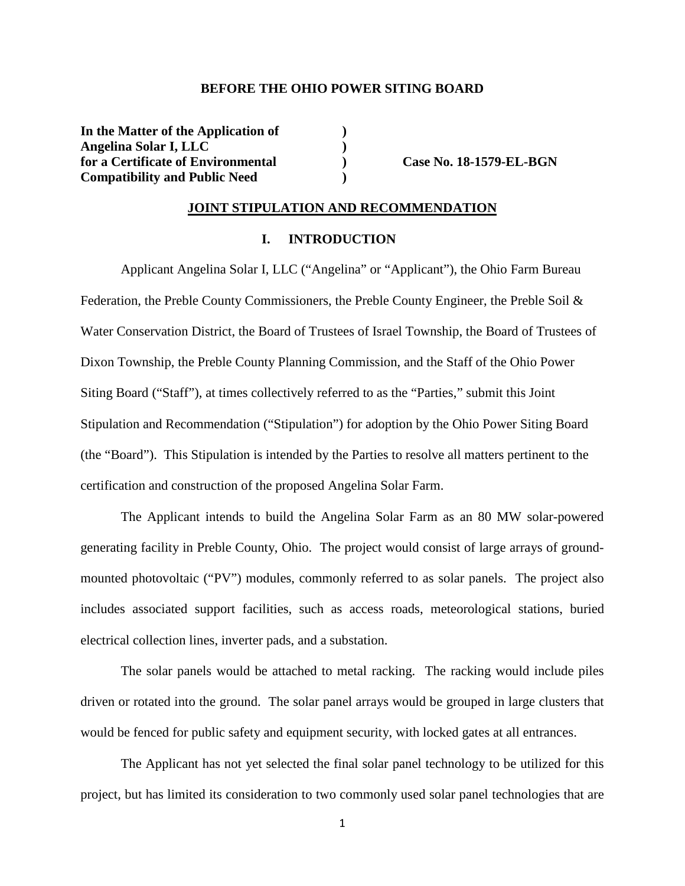### **BEFORE THE OHIO POWER SITING BOARD**

**In the Matter of the Application of ) Angelina Solar I, LLC )**  for a Certificate of Environmental **Case No. 18-1579-EL-BGN Compatibility and Public Need )** 

### **JOINT STIPULATION AND RECOMMENDATION**

### **I. INTRODUCTION**

Applicant Angelina Solar I, LLC ("Angelina" or "Applicant"), the Ohio Farm Bureau Federation, the Preble County Commissioners, the Preble County Engineer, the Preble Soil & Water Conservation District, the Board of Trustees of Israel Township, the Board of Trustees of Dixon Township, the Preble County Planning Commission, and the Staff of the Ohio Power Siting Board ("Staff"), at times collectively referred to as the "Parties," submit this Joint Stipulation and Recommendation ("Stipulation") for adoption by the Ohio Power Siting Board (the "Board"). This Stipulation is intended by the Parties to resolve all matters pertinent to the certification and construction of the proposed Angelina Solar Farm.

The Applicant intends to build the Angelina Solar Farm as an 80 MW solar-powered generating facility in Preble County, Ohio. The project would consist of large arrays of groundmounted photovoltaic ("PV") modules, commonly referred to as solar panels. The project also includes associated support facilities, such as access roads, meteorological stations, buried electrical collection lines, inverter pads, and a substation.

The solar panels would be attached to metal racking. The racking would include piles driven or rotated into the ground. The solar panel arrays would be grouped in large clusters that would be fenced for public safety and equipment security, with locked gates at all entrances.

The Applicant has not yet selected the final solar panel technology to be utilized for this project, but has limited its consideration to two commonly used solar panel technologies that are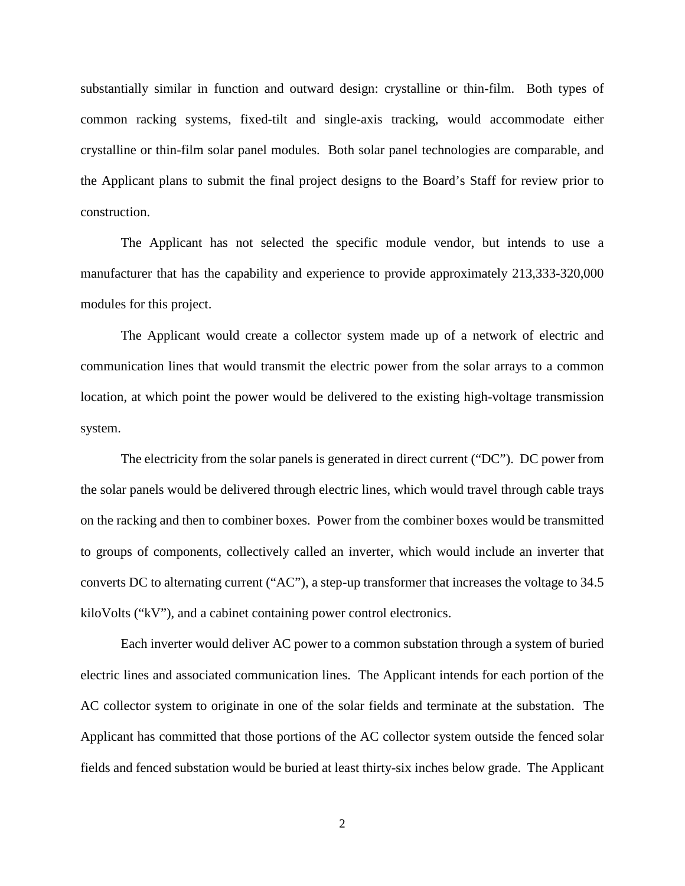substantially similar in function and outward design: crystalline or thin-film. Both types of common racking systems, fixed-tilt and single-axis tracking, would accommodate either crystalline or thin-film solar panel modules. Both solar panel technologies are comparable, and the Applicant plans to submit the final project designs to the Board's Staff for review prior to construction.

The Applicant has not selected the specific module vendor, but intends to use a manufacturer that has the capability and experience to provide approximately 213,333-320,000 modules for this project.

The Applicant would create a collector system made up of a network of electric and communication lines that would transmit the electric power from the solar arrays to a common location, at which point the power would be delivered to the existing high-voltage transmission system.

The electricity from the solar panels is generated in direct current ("DC"). DC power from the solar panels would be delivered through electric lines, which would travel through cable trays on the racking and then to combiner boxes. Power from the combiner boxes would be transmitted to groups of components, collectively called an inverter, which would include an inverter that converts DC to alternating current ("AC"), a step-up transformer that increases the voltage to 34.5 kiloVolts ("kV"), and a cabinet containing power control electronics.

Each inverter would deliver AC power to a common substation through a system of buried electric lines and associated communication lines. The Applicant intends for each portion of the AC collector system to originate in one of the solar fields and terminate at the substation. The Applicant has committed that those portions of the AC collector system outside the fenced solar fields and fenced substation would be buried at least thirty-six inches below grade. The Applicant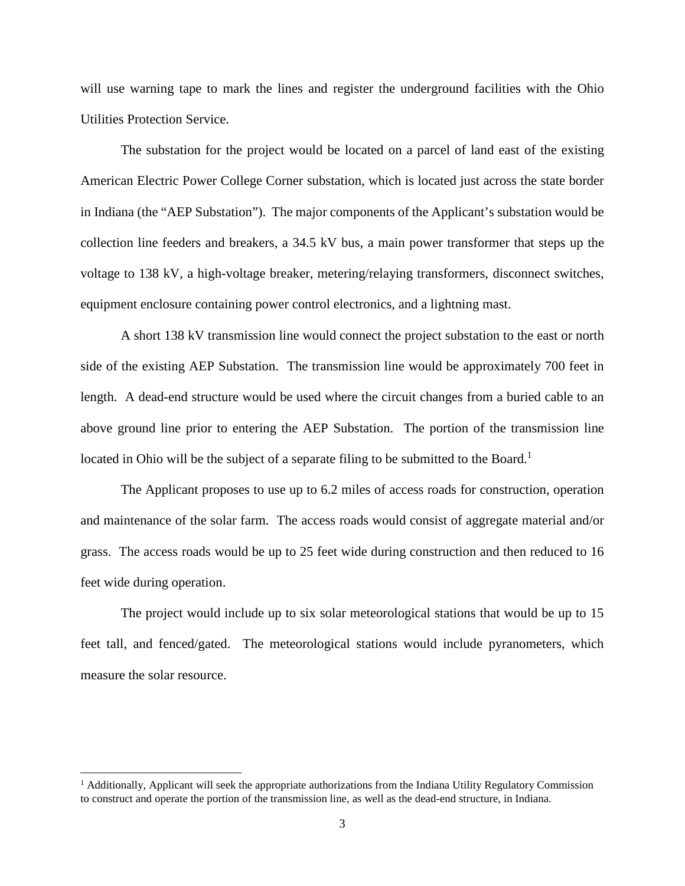will use warning tape to mark the lines and register the underground facilities with the Ohio Utilities Protection Service.

The substation for the project would be located on a parcel of land east of the existing American Electric Power College Corner substation, which is located just across the state border in Indiana (the "AEP Substation"). The major components of the Applicant's substation would be collection line feeders and breakers, a 34.5 kV bus, a main power transformer that steps up the voltage to 138 kV, a high-voltage breaker, metering/relaying transformers, disconnect switches, equipment enclosure containing power control electronics, and a lightning mast.

A short 138 kV transmission line would connect the project substation to the east or north side of the existing AEP Substation. The transmission line would be approximately 700 feet in length. A dead-end structure would be used where the circuit changes from a buried cable to an above ground line prior to entering the AEP Substation. The portion of the transmission line located in Ohio will be the subject of a separate filing to be submitted to the Board.<sup>1</sup>

The Applicant proposes to use up to 6.2 miles of access roads for construction, operation and maintenance of the solar farm. The access roads would consist of aggregate material and/or grass. The access roads would be up to 25 feet wide during construction and then reduced to 16 feet wide during operation.

The project would include up to six solar meteorological stations that would be up to 15 feet tall, and fenced/gated. The meteorological stations would include pyranometers, which measure the solar resource.

<sup>&</sup>lt;sup>1</sup> Additionally, Applicant will seek the appropriate authorizations from the Indiana Utility Regulatory Commission to construct and operate the portion of the transmission line, as well as the dead-end structure, in Indiana.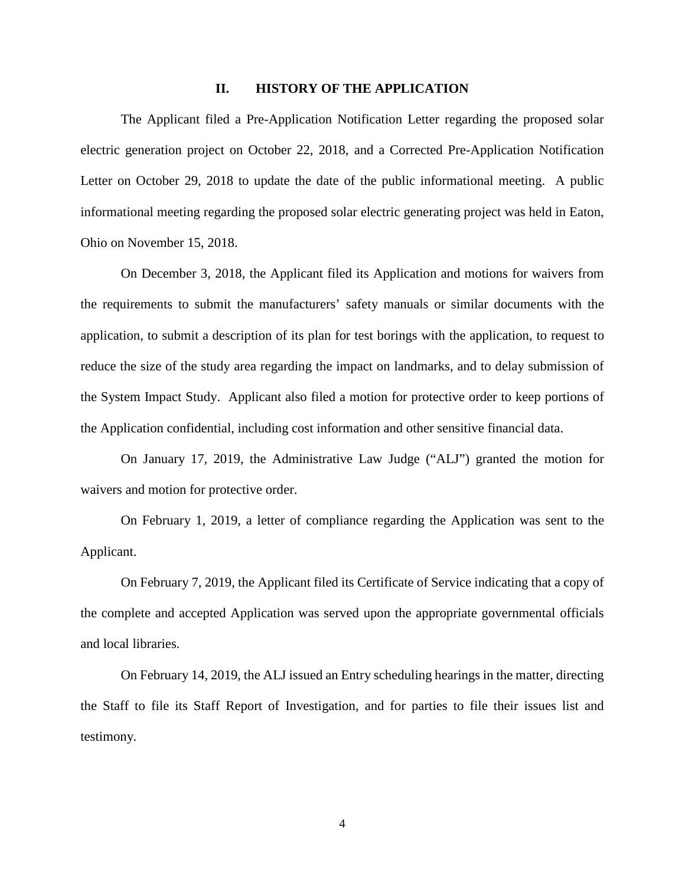### **II. HISTORY OF THE APPLICATION**

The Applicant filed a Pre-Application Notification Letter regarding the proposed solar electric generation project on October 22, 2018, and a Corrected Pre-Application Notification Letter on October 29, 2018 to update the date of the public informational meeting. A public informational meeting regarding the proposed solar electric generating project was held in Eaton, Ohio on November 15, 2018.

On December 3, 2018, the Applicant filed its Application and motions for waivers from the requirements to submit the manufacturers' safety manuals or similar documents with the application, to submit a description of its plan for test borings with the application, to request to reduce the size of the study area regarding the impact on landmarks, and to delay submission of the System Impact Study. Applicant also filed a motion for protective order to keep portions of the Application confidential, including cost information and other sensitive financial data.

On January 17, 2019, the Administrative Law Judge ("ALJ") granted the motion for waivers and motion for protective order.

On February 1, 2019, a letter of compliance regarding the Application was sent to the Applicant.

On February 7, 2019, the Applicant filed its Certificate of Service indicating that a copy of the complete and accepted Application was served upon the appropriate governmental officials and local libraries.

On February 14, 2019, the ALJ issued an Entry scheduling hearings in the matter, directing the Staff to file its Staff Report of Investigation, and for parties to file their issues list and testimony.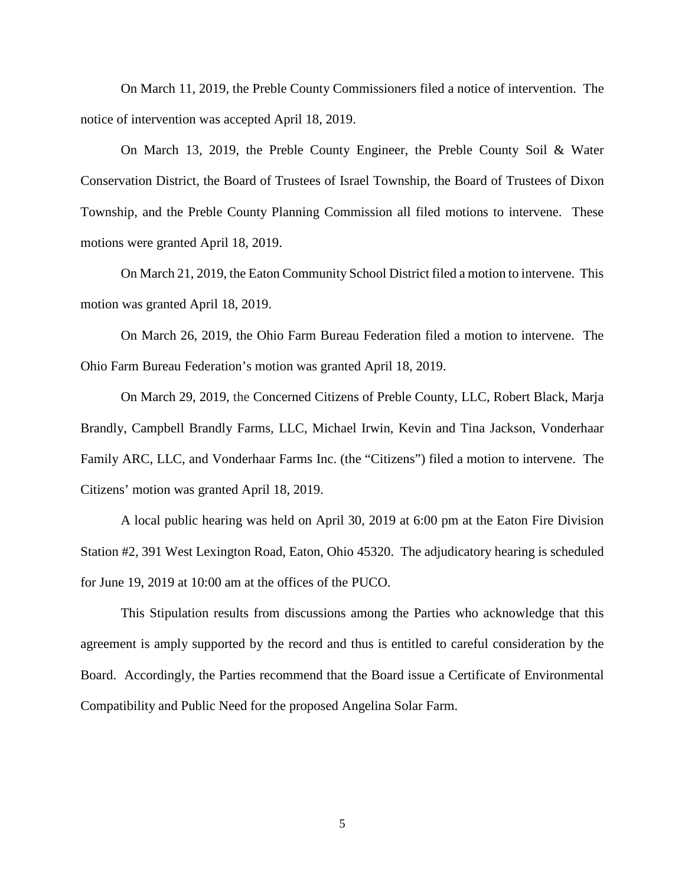On March 11, 2019, the Preble County Commissioners filed a notice of intervention. The notice of intervention was accepted April 18, 2019.

On March 13, 2019, the Preble County Engineer, the Preble County Soil & Water Conservation District, the Board of Trustees of Israel Township, the Board of Trustees of Dixon Township, and the Preble County Planning Commission all filed motions to intervene. These motions were granted April 18, 2019.

On March 21, 2019, the Eaton Community School District filed a motion to intervene. This motion was granted April 18, 2019.

On March 26, 2019, the Ohio Farm Bureau Federation filed a motion to intervene. The Ohio Farm Bureau Federation's motion was granted April 18, 2019.

On March 29, 2019, the Concerned Citizens of Preble County, LLC, Robert Black, Marja Brandly, Campbell Brandly Farms, LLC, Michael Irwin, Kevin and Tina Jackson, Vonderhaar Family ARC, LLC, and Vonderhaar Farms Inc. (the "Citizens") filed a motion to intervene. The Citizens' motion was granted April 18, 2019.

A local public hearing was held on April 30, 2019 at 6:00 pm at the Eaton Fire Division Station #2, 391 West Lexington Road, Eaton, Ohio 45320. The adjudicatory hearing is scheduled for June 19, 2019 at 10:00 am at the offices of the PUCO.

This Stipulation results from discussions among the Parties who acknowledge that this agreement is amply supported by the record and thus is entitled to careful consideration by the Board. Accordingly, the Parties recommend that the Board issue a Certificate of Environmental Compatibility and Public Need for the proposed Angelina Solar Farm.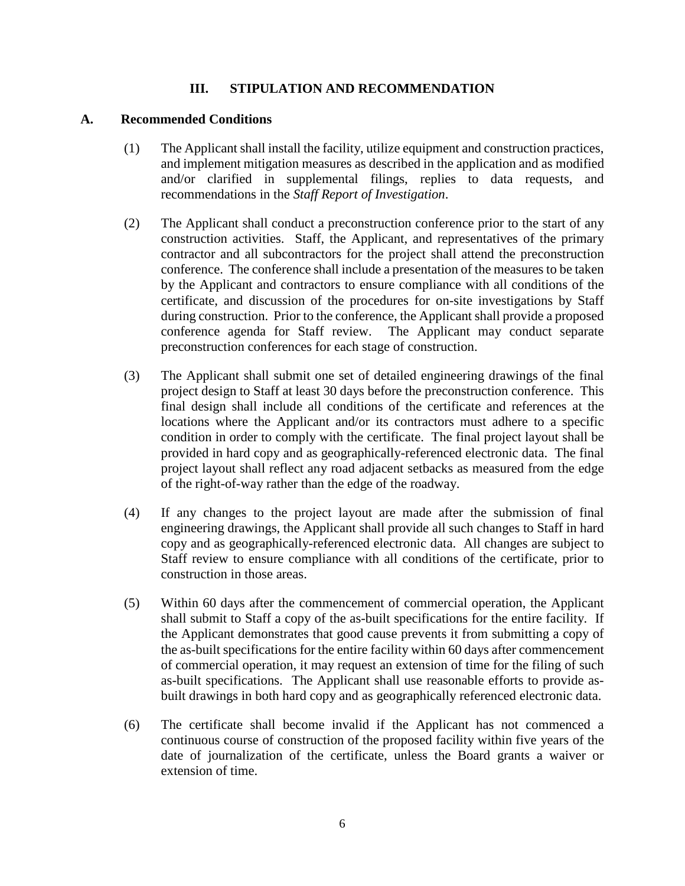# **III. STIPULATION AND RECOMMENDATION**

# **A. Recommended Conditions**

- (1) The Applicant shall install the facility, utilize equipment and construction practices, and implement mitigation measures as described in the application and as modified and/or clarified in supplemental filings, replies to data requests, and recommendations in the *Staff Report of Investigation*.
- (2) The Applicant shall conduct a preconstruction conference prior to the start of any construction activities. Staff, the Applicant, and representatives of the primary contractor and all subcontractors for the project shall attend the preconstruction conference. The conference shall include a presentation of the measures to be taken by the Applicant and contractors to ensure compliance with all conditions of the certificate, and discussion of the procedures for on-site investigations by Staff during construction. Prior to the conference, the Applicant shall provide a proposed conference agenda for Staff review. The Applicant may conduct separate preconstruction conferences for each stage of construction.
- (3) The Applicant shall submit one set of detailed engineering drawings of the final project design to Staff at least 30 days before the preconstruction conference. This final design shall include all conditions of the certificate and references at the locations where the Applicant and/or its contractors must adhere to a specific condition in order to comply with the certificate. The final project layout shall be provided in hard copy and as geographically-referenced electronic data. The final project layout shall reflect any road adjacent setbacks as measured from the edge of the right-of-way rather than the edge of the roadway.
- (4) If any changes to the project layout are made after the submission of final engineering drawings, the Applicant shall provide all such changes to Staff in hard copy and as geographically-referenced electronic data. All changes are subject to Staff review to ensure compliance with all conditions of the certificate, prior to construction in those areas.
- (5) Within 60 days after the commencement of commercial operation, the Applicant shall submit to Staff a copy of the as-built specifications for the entire facility. If the Applicant demonstrates that good cause prevents it from submitting a copy of the as-built specifications for the entire facility within 60 days after commencement of commercial operation, it may request an extension of time for the filing of such as-built specifications. The Applicant shall use reasonable efforts to provide asbuilt drawings in both hard copy and as geographically referenced electronic data.
- (6) The certificate shall become invalid if the Applicant has not commenced a continuous course of construction of the proposed facility within five years of the date of journalization of the certificate, unless the Board grants a waiver or extension of time.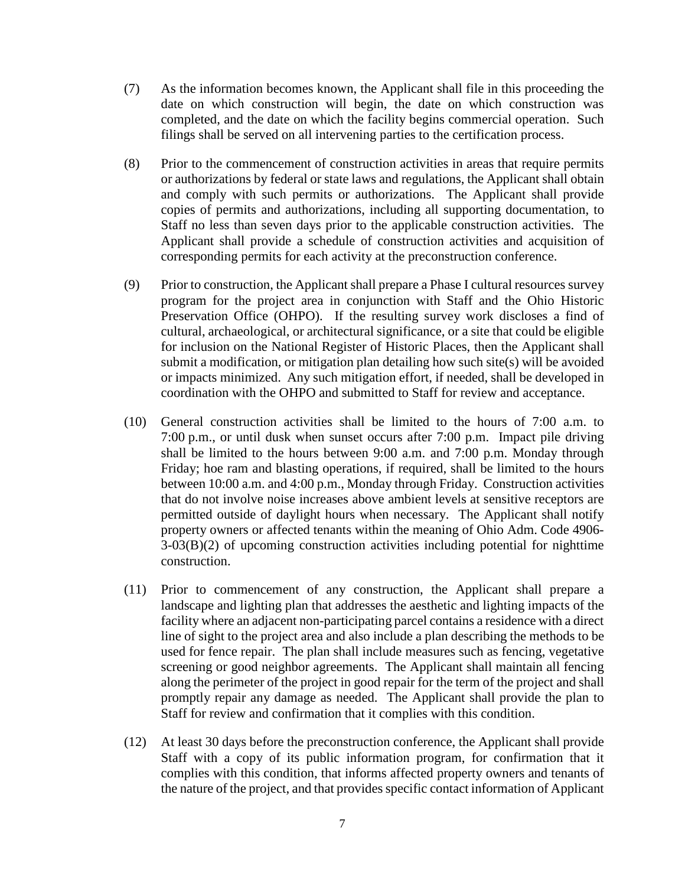- (7) As the information becomes known, the Applicant shall file in this proceeding the date on which construction will begin, the date on which construction was completed, and the date on which the facility begins commercial operation. Such filings shall be served on all intervening parties to the certification process.
- (8) Prior to the commencement of construction activities in areas that require permits or authorizations by federal or state laws and regulations, the Applicant shall obtain and comply with such permits or authorizations. The Applicant shall provide copies of permits and authorizations, including all supporting documentation, to Staff no less than seven days prior to the applicable construction activities. The Applicant shall provide a schedule of construction activities and acquisition of corresponding permits for each activity at the preconstruction conference.
- (9) Prior to construction, the Applicant shall prepare a Phase I cultural resources survey program for the project area in conjunction with Staff and the Ohio Historic Preservation Office (OHPO). If the resulting survey work discloses a find of cultural, archaeological, or architectural significance, or a site that could be eligible for inclusion on the National Register of Historic Places, then the Applicant shall submit a modification, or mitigation plan detailing how such site(s) will be avoided or impacts minimized. Any such mitigation effort, if needed, shall be developed in coordination with the OHPO and submitted to Staff for review and acceptance.
- (10) General construction activities shall be limited to the hours of 7:00 a.m. to 7:00 p.m., or until dusk when sunset occurs after 7:00 p.m. Impact pile driving shall be limited to the hours between 9:00 a.m. and 7:00 p.m. Monday through Friday; hoe ram and blasting operations, if required, shall be limited to the hours between 10:00 a.m. and 4:00 p.m., Monday through Friday. Construction activities that do not involve noise increases above ambient levels at sensitive receptors are permitted outside of daylight hours when necessary. The Applicant shall notify property owners or affected tenants within the meaning of Ohio Adm. Code 4906- 3-03(B)(2) of upcoming construction activities including potential for nighttime construction.
- (11) Prior to commencement of any construction, the Applicant shall prepare a landscape and lighting plan that addresses the aesthetic and lighting impacts of the facility where an adjacent non-participating parcel contains a residence with a direct line of sight to the project area and also include a plan describing the methods to be used for fence repair. The plan shall include measures such as fencing, vegetative screening or good neighbor agreements. The Applicant shall maintain all fencing along the perimeter of the project in good repair for the term of the project and shall promptly repair any damage as needed. The Applicant shall provide the plan to Staff for review and confirmation that it complies with this condition.
- (12) At least 30 days before the preconstruction conference, the Applicant shall provide Staff with a copy of its public information program, for confirmation that it complies with this condition, that informs affected property owners and tenants of the nature of the project, and that provides specific contact information of Applicant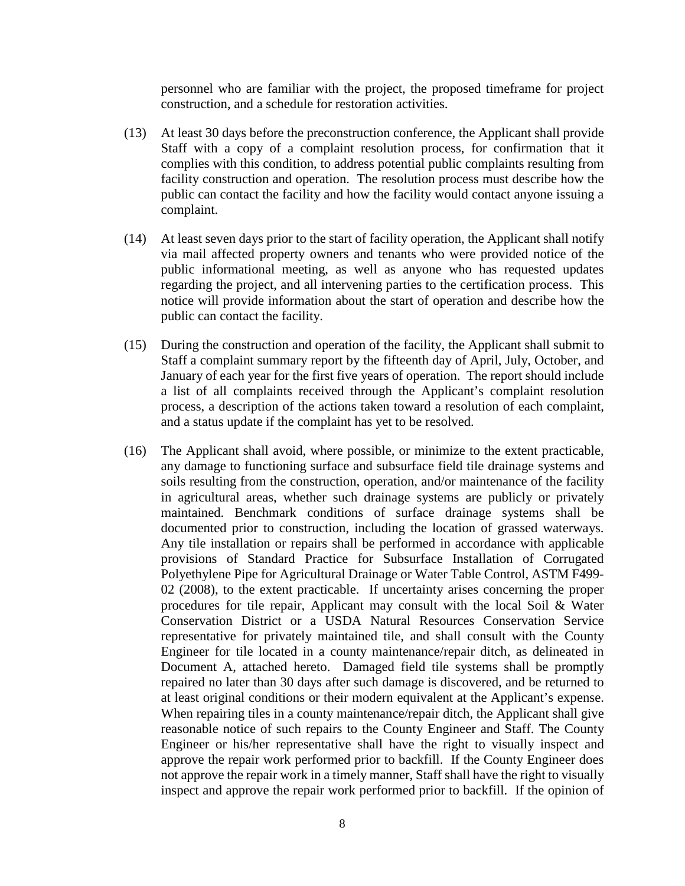personnel who are familiar with the project, the proposed timeframe for project construction, and a schedule for restoration activities.

- (13) At least 30 days before the preconstruction conference, the Applicant shall provide Staff with a copy of a complaint resolution process, for confirmation that it complies with this condition, to address potential public complaints resulting from facility construction and operation. The resolution process must describe how the public can contact the facility and how the facility would contact anyone issuing a complaint.
- (14) At least seven days prior to the start of facility operation, the Applicant shall notify via mail affected property owners and tenants who were provided notice of the public informational meeting, as well as anyone who has requested updates regarding the project, and all intervening parties to the certification process. This notice will provide information about the start of operation and describe how the public can contact the facility.
- (15) During the construction and operation of the facility, the Applicant shall submit to Staff a complaint summary report by the fifteenth day of April, July, October, and January of each year for the first five years of operation. The report should include a list of all complaints received through the Applicant's complaint resolution process, a description of the actions taken toward a resolution of each complaint, and a status update if the complaint has yet to be resolved.
- (16) The Applicant shall avoid, where possible, or minimize to the extent practicable, any damage to functioning surface and subsurface field tile drainage systems and soils resulting from the construction, operation, and/or maintenance of the facility in agricultural areas, whether such drainage systems are publicly or privately maintained. Benchmark conditions of surface drainage systems shall be documented prior to construction, including the location of grassed waterways. Any tile installation or repairs shall be performed in accordance with applicable provisions of Standard Practice for Subsurface Installation of Corrugated Polyethylene Pipe for Agricultural Drainage or Water Table Control, ASTM F499- 02 (2008), to the extent practicable. If uncertainty arises concerning the proper procedures for tile repair, Applicant may consult with the local Soil & Water Conservation District or a USDA Natural Resources Conservation Service representative for privately maintained tile, and shall consult with the County Engineer for tile located in a county maintenance/repair ditch, as delineated in Document A, attached hereto. Damaged field tile systems shall be promptly repaired no later than 30 days after such damage is discovered, and be returned to at least original conditions or their modern equivalent at the Applicant's expense. When repairing tiles in a county maintenance/repair ditch, the Applicant shall give reasonable notice of such repairs to the County Engineer and Staff. The County Engineer or his/her representative shall have the right to visually inspect and approve the repair work performed prior to backfill. If the County Engineer does not approve the repair work in a timely manner, Staff shall have the right to visually inspect and approve the repair work performed prior to backfill. If the opinion of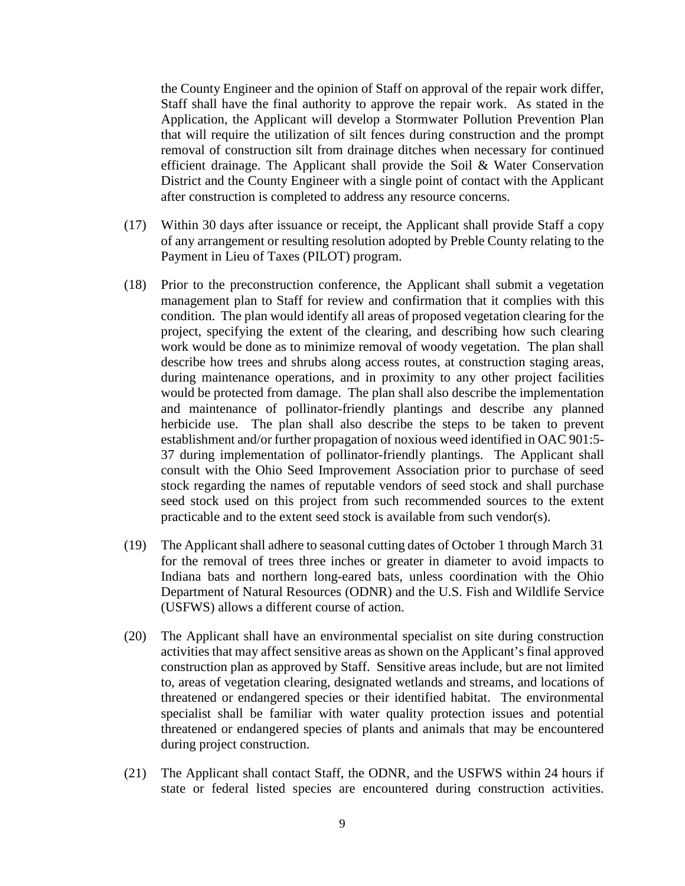the County Engineer and the opinion of Staff on approval of the repair work differ, Staff shall have the final authority to approve the repair work. As stated in the Application, the Applicant will develop a Stormwater Pollution Prevention Plan that will require the utilization of silt fences during construction and the prompt removal of construction silt from drainage ditches when necessary for continued efficient drainage. The Applicant shall provide the Soil & Water Conservation District and the County Engineer with a single point of contact with the Applicant after construction is completed to address any resource concerns.

- (17) Within 30 days after issuance or receipt, the Applicant shall provide Staff a copy of any arrangement or resulting resolution adopted by Preble County relating to the Payment in Lieu of Taxes (PILOT) program.
- (18) Prior to the preconstruction conference, the Applicant shall submit a vegetation management plan to Staff for review and confirmation that it complies with this condition. The plan would identify all areas of proposed vegetation clearing for the project, specifying the extent of the clearing, and describing how such clearing work would be done as to minimize removal of woody vegetation. The plan shall describe how trees and shrubs along access routes, at construction staging areas, during maintenance operations, and in proximity to any other project facilities would be protected from damage. The plan shall also describe the implementation and maintenance of pollinator-friendly plantings and describe any planned herbicide use. The plan shall also describe the steps to be taken to prevent establishment and/or further propagation of noxious weed identified in OAC 901:5- 37 during implementation of pollinator-friendly plantings. The Applicant shall consult with the Ohio Seed Improvement Association prior to purchase of seed stock regarding the names of reputable vendors of seed stock and shall purchase seed stock used on this project from such recommended sources to the extent practicable and to the extent seed stock is available from such vendor(s).
- (19) The Applicant shall adhere to seasonal cutting dates of October 1 through March 31 for the removal of trees three inches or greater in diameter to avoid impacts to Indiana bats and northern long-eared bats, unless coordination with the Ohio Department of Natural Resources (ODNR) and the U.S. Fish and Wildlife Service (USFWS) allows a different course of action.
- (20) The Applicant shall have an environmental specialist on site during construction activities that may affect sensitive areas as shown on the Applicant's final approved construction plan as approved by Staff. Sensitive areas include, but are not limited to, areas of vegetation clearing, designated wetlands and streams, and locations of threatened or endangered species or their identified habitat. The environmental specialist shall be familiar with water quality protection issues and potential threatened or endangered species of plants and animals that may be encountered during project construction.
- (21) The Applicant shall contact Staff, the ODNR, and the USFWS within 24 hours if state or federal listed species are encountered during construction activities.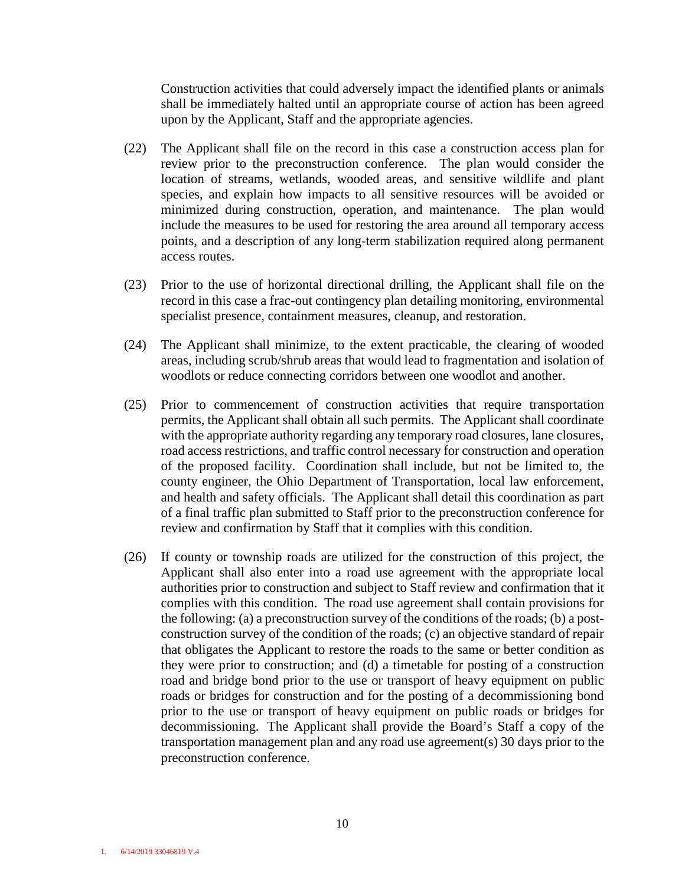Construction activities that could adversely impact the identified plants or animals shall be immediately halted until an appropriate course of action has been agreed upon by the Applicant, Staff and the appropriate agencies.

- (22) The Applicant shall file on the record in this case a construction access plan for review prior to the preconstruction conference. The plan would consider the location of streams, wetlands, wooded areas, and sensitive wildlife and plant species, and explain how impacts to all sensitive resources will be avoided or minimized during construction, operation, and maintenance. The plan would include the measures to be used for restoring the area around all temporary access points, and a description of any long-term stabilization required along permanent access routes.
- (23) Prior to the use of horizontal directional drilling, the Applicant shall file on the record in this case a frac-out contingency plan detailing monitoring, environmental specialist presence, containment measures, cleanup, and restoration.
- (24) The Applicant shall minimize, to the extent practicable, the clearing of wooded areas, including scrub/shrub areas that would lead to fragmentation and isolation of woodlots or reduce connecting corridors between one woodlot and another.
- (25) Prior to commencement of construction activities that require transportation permits, the Applicant shall obtain all such permits. The Applicant shall coordinate with the appropriate authority regarding any temporary road closures, lane closures, road access restrictions, and traffic control necessary for construction and operation of the proposed facility. Coordination shall include, but not be limited to, the county engineer, the Ohio Department of Transportation, local law enforcement, and health and safety officials. The Applicant shall detail this coordination as part of a final traffic plan submitted to Staff prior to the preconstruction conference for review and confirmation by Staff that it complies with this condition.
- (26) If county or township roads are utilized for the construction of this project, the Applicant shall also enter into a road use agreement with the appropriate local authorities prior to construction and subject to Staff review and confirmation that it complies with this condition. The road use agreement shall contain provisions for the following: (a) a preconstruction survey of the conditions of the roads; (b) a postconstruction survey of the condition of the roads; (c) an objective standard of repair that obligates the Applicant to restore the roads to the same or better condition as they were prior to construction; and (d) a timetable for posting of a construction road and bridge bond prior to the use or transport of heavy equipment on public roads or bridges for construction and for the posting of a decommissioning bond prior to the use or transport of heavy equipment on public roads or bridges for decommissioning. The Applicant shall provide the Board's Staff a copy of the transportation management plan and any road use agreement(s) 30 days prior to the preconstruction conference.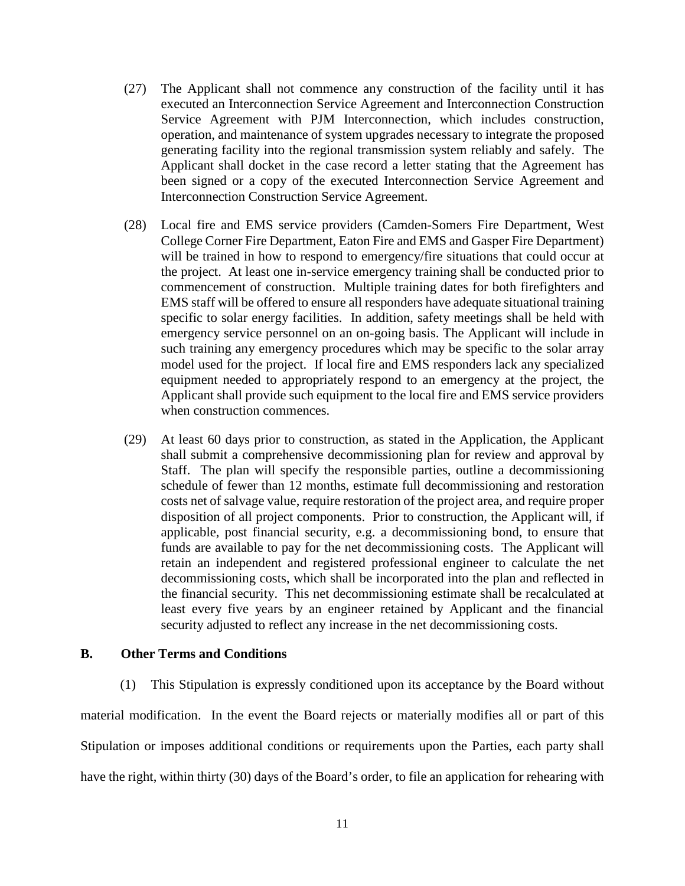- (27) The Applicant shall not commence any construction of the facility until it has executed an Interconnection Service Agreement and Interconnection Construction Service Agreement with PJM Interconnection, which includes construction, operation, and maintenance of system upgrades necessary to integrate the proposed generating facility into the regional transmission system reliably and safely. The Applicant shall docket in the case record a letter stating that the Agreement has been signed or a copy of the executed Interconnection Service Agreement and Interconnection Construction Service Agreement.
- (28) Local fire and EMS service providers (Camden-Somers Fire Department, West College Corner Fire Department, Eaton Fire and EMS and Gasper Fire Department) will be trained in how to respond to emergency/fire situations that could occur at the project. At least one in-service emergency training shall be conducted prior to commencement of construction. Multiple training dates for both firefighters and EMS staff will be offered to ensure all responders have adequate situational training specific to solar energy facilities. In addition, safety meetings shall be held with emergency service personnel on an on-going basis. The Applicant will include in such training any emergency procedures which may be specific to the solar array model used for the project. If local fire and EMS responders lack any specialized equipment needed to appropriately respond to an emergency at the project, the Applicant shall provide such equipment to the local fire and EMS service providers when construction commences.
- (29) At least 60 days prior to construction, as stated in the Application, the Applicant shall submit a comprehensive decommissioning plan for review and approval by Staff. The plan will specify the responsible parties, outline a decommissioning schedule of fewer than 12 months, estimate full decommissioning and restoration costs net of salvage value, require restoration of the project area, and require proper disposition of all project components. Prior to construction, the Applicant will, if applicable, post financial security, e.g. a decommissioning bond, to ensure that funds are available to pay for the net decommissioning costs. The Applicant will retain an independent and registered professional engineer to calculate the net decommissioning costs, which shall be incorporated into the plan and reflected in the financial security. This net decommissioning estimate shall be recalculated at least every five years by an engineer retained by Applicant and the financial security adjusted to reflect any increase in the net decommissioning costs.

## **B. Other Terms and Conditions**

(1) This Stipulation is expressly conditioned upon its acceptance by the Board without

material modification. In the event the Board rejects or materially modifies all or part of this Stipulation or imposes additional conditions or requirements upon the Parties, each party shall have the right, within thirty (30) days of the Board's order, to file an application for rehearing with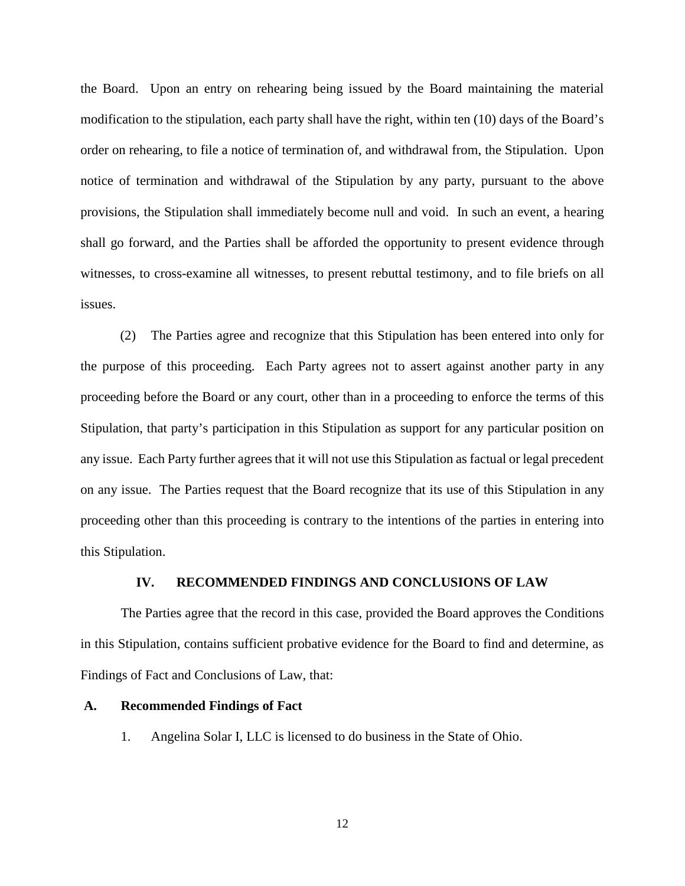the Board. Upon an entry on rehearing being issued by the Board maintaining the material modification to the stipulation, each party shall have the right, within ten (10) days of the Board's order on rehearing, to file a notice of termination of, and withdrawal from, the Stipulation. Upon notice of termination and withdrawal of the Stipulation by any party, pursuant to the above provisions, the Stipulation shall immediately become null and void. In such an event, a hearing shall go forward, and the Parties shall be afforded the opportunity to present evidence through witnesses, to cross-examine all witnesses, to present rebuttal testimony, and to file briefs on all issues.

(2) The Parties agree and recognize that this Stipulation has been entered into only for the purpose of this proceeding. Each Party agrees not to assert against another party in any proceeding before the Board or any court, other than in a proceeding to enforce the terms of this Stipulation, that party's participation in this Stipulation as support for any particular position on any issue. Each Party further agrees that it will not use this Stipulation as factual or legal precedent on any issue. The Parties request that the Board recognize that its use of this Stipulation in any proceeding other than this proceeding is contrary to the intentions of the parties in entering into this Stipulation.

### **IV. RECOMMENDED FINDINGS AND CONCLUSIONS OF LAW**

The Parties agree that the record in this case, provided the Board approves the Conditions in this Stipulation, contains sufficient probative evidence for the Board to find and determine, as Findings of Fact and Conclusions of Law, that:

#### **A. Recommended Findings of Fact**

1. Angelina Solar I, LLC is licensed to do business in the State of Ohio.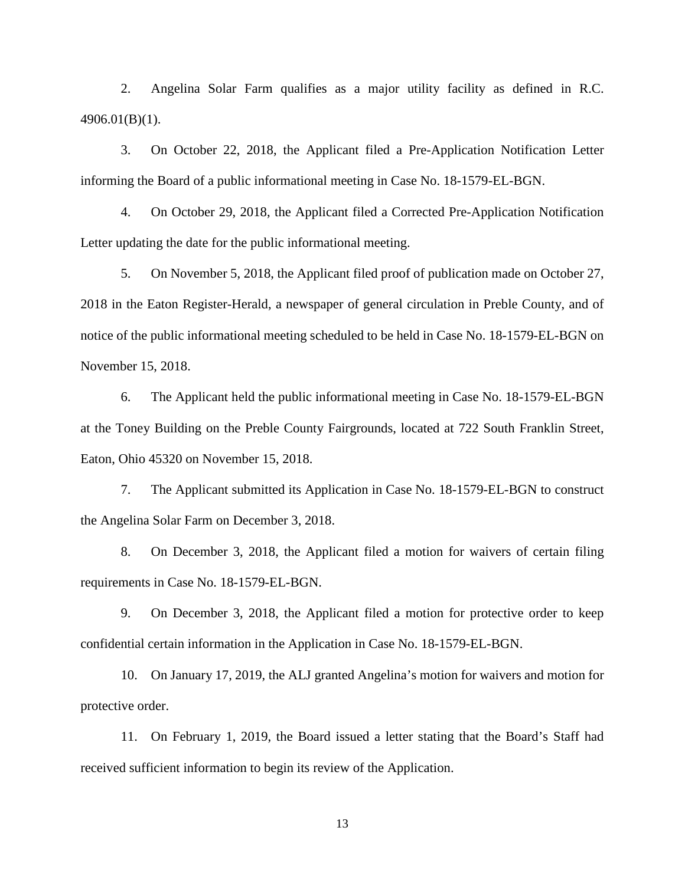2. Angelina Solar Farm qualifies as a major utility facility as defined in R.C. 4906.01(B)(1).

3. On October 22, 2018, the Applicant filed a Pre-Application Notification Letter informing the Board of a public informational meeting in Case No. 18-1579-EL-BGN.

4. On October 29, 2018, the Applicant filed a Corrected Pre-Application Notification Letter updating the date for the public informational meeting.

5. On November 5, 2018, the Applicant filed proof of publication made on October 27, 2018 in the Eaton Register-Herald, a newspaper of general circulation in Preble County, and of notice of the public informational meeting scheduled to be held in Case No. 18-1579-EL-BGN on November 15, 2018.

6. The Applicant held the public informational meeting in Case No. 18-1579-EL-BGN at the Toney Building on the Preble County Fairgrounds, located at 722 South Franklin Street, Eaton, Ohio 45320 on November 15, 2018.

7. The Applicant submitted its Application in Case No. 18-1579-EL-BGN to construct the Angelina Solar Farm on December 3, 2018.

8. On December 3, 2018, the Applicant filed a motion for waivers of certain filing requirements in Case No. 18-1579-EL-BGN.

9. On December 3, 2018, the Applicant filed a motion for protective order to keep confidential certain information in the Application in Case No. 18-1579-EL-BGN.

10. On January 17, 2019, the ALJ granted Angelina's motion for waivers and motion for protective order.

11. On February 1, 2019, the Board issued a letter stating that the Board's Staff had received sufficient information to begin its review of the Application.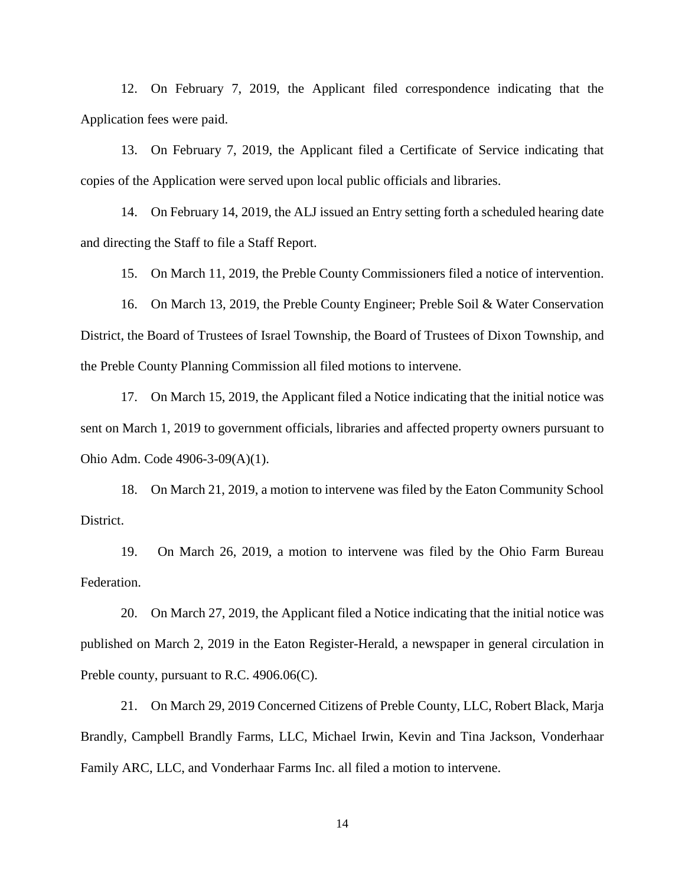12. On February 7, 2019, the Applicant filed correspondence indicating that the Application fees were paid.

13. On February 7, 2019, the Applicant filed a Certificate of Service indicating that copies of the Application were served upon local public officials and libraries.

14. On February 14, 2019, the ALJ issued an Entry setting forth a scheduled hearing date and directing the Staff to file a Staff Report.

15. On March 11, 2019, the Preble County Commissioners filed a notice of intervention.

16. On March 13, 2019, the Preble County Engineer; Preble Soil & Water Conservation District, the Board of Trustees of Israel Township, the Board of Trustees of Dixon Township, and the Preble County Planning Commission all filed motions to intervene.

17. On March 15, 2019, the Applicant filed a Notice indicating that the initial notice was sent on March 1, 2019 to government officials, libraries and affected property owners pursuant to Ohio Adm. Code 4906-3-09(A)(1).

18. On March 21, 2019, a motion to intervene was filed by the Eaton Community School District.

19. On March 26, 2019, a motion to intervene was filed by the Ohio Farm Bureau Federation.

20. On March 27, 2019, the Applicant filed a Notice indicating that the initial notice was published on March 2, 2019 in the Eaton Register-Herald, a newspaper in general circulation in Preble county, pursuant to R.C. 4906.06(C).

21. On March 29, 2019 Concerned Citizens of Preble County, LLC, Robert Black, Marja Brandly, Campbell Brandly Farms, LLC, Michael Irwin, Kevin and Tina Jackson, Vonderhaar Family ARC, LLC, and Vonderhaar Farms Inc. all filed a motion to intervene.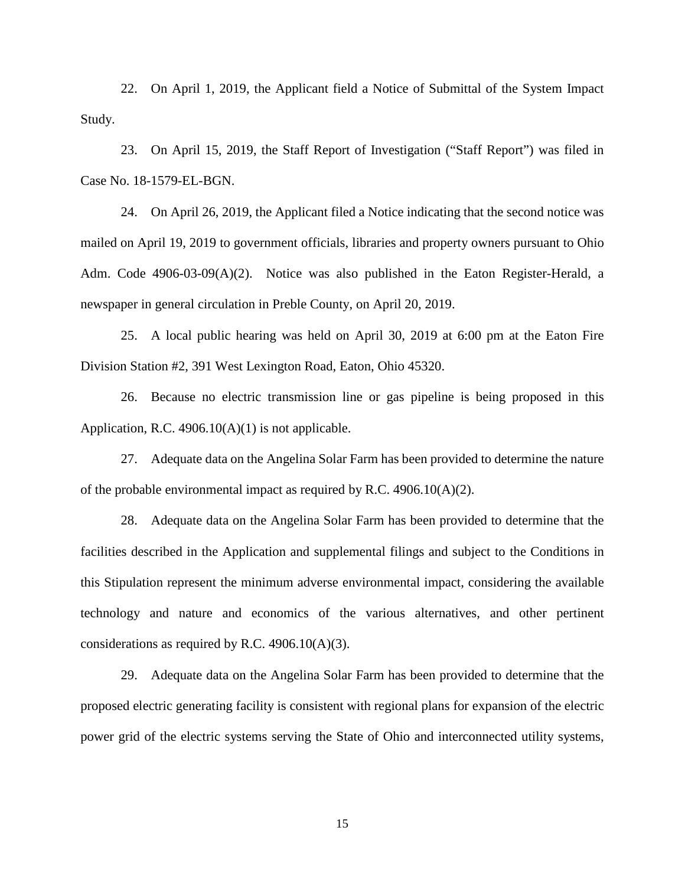22. On April 1, 2019, the Applicant field a Notice of Submittal of the System Impact Study.

23. On April 15, 2019, the Staff Report of Investigation ("Staff Report") was filed in Case No. 18-1579-EL-BGN.

24. On April 26, 2019, the Applicant filed a Notice indicating that the second notice was mailed on April 19, 2019 to government officials, libraries and property owners pursuant to Ohio Adm. Code 4906-03-09(A)(2). Notice was also published in the Eaton Register-Herald, a newspaper in general circulation in Preble County, on April 20, 2019.

25. A local public hearing was held on April 30, 2019 at 6:00 pm at the Eaton Fire Division Station #2, 391 West Lexington Road, Eaton, Ohio 45320.

26. Because no electric transmission line or gas pipeline is being proposed in this Application, R.C.  $4906.10(A)(1)$  is not applicable.

27. Adequate data on the Angelina Solar Farm has been provided to determine the nature of the probable environmental impact as required by R.C.  $4906.10(A)(2)$ .

28. Adequate data on the Angelina Solar Farm has been provided to determine that the facilities described in the Application and supplemental filings and subject to the Conditions in this Stipulation represent the minimum adverse environmental impact, considering the available technology and nature and economics of the various alternatives, and other pertinent considerations as required by R.C. 4906.10(A)(3).

29. Adequate data on the Angelina Solar Farm has been provided to determine that the proposed electric generating facility is consistent with regional plans for expansion of the electric power grid of the electric systems serving the State of Ohio and interconnected utility systems,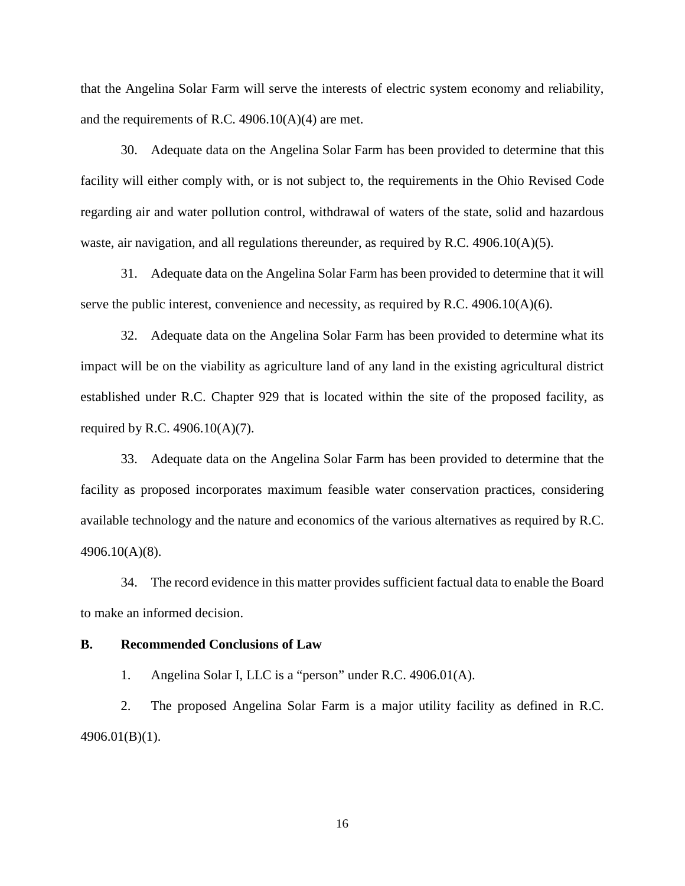that the Angelina Solar Farm will serve the interests of electric system economy and reliability, and the requirements of R.C. 4906.10(A)(4) are met.

30. Adequate data on the Angelina Solar Farm has been provided to determine that this facility will either comply with, or is not subject to, the requirements in the Ohio Revised Code regarding air and water pollution control, withdrawal of waters of the state, solid and hazardous waste, air navigation, and all regulations thereunder, as required by R.C. 4906.10(A)(5).

31. Adequate data on the Angelina Solar Farm has been provided to determine that it will serve the public interest, convenience and necessity, as required by R.C. 4906.10(A)(6).

32. Adequate data on the Angelina Solar Farm has been provided to determine what its impact will be on the viability as agriculture land of any land in the existing agricultural district established under R.C. Chapter 929 that is located within the site of the proposed facility, as required by R.C. 4906.10(A)(7).

33. Adequate data on the Angelina Solar Farm has been provided to determine that the facility as proposed incorporates maximum feasible water conservation practices, considering available technology and the nature and economics of the various alternatives as required by R.C. 4906.10(A)(8).

34. The record evidence in this matter provides sufficient factual data to enable the Board to make an informed decision.

### **B. Recommended Conclusions of Law**

1. Angelina Solar I, LLC is a "person" under R.C. 4906.01(A).

2. The proposed Angelina Solar Farm is a major utility facility as defined in R.C. 4906.01(B)(1).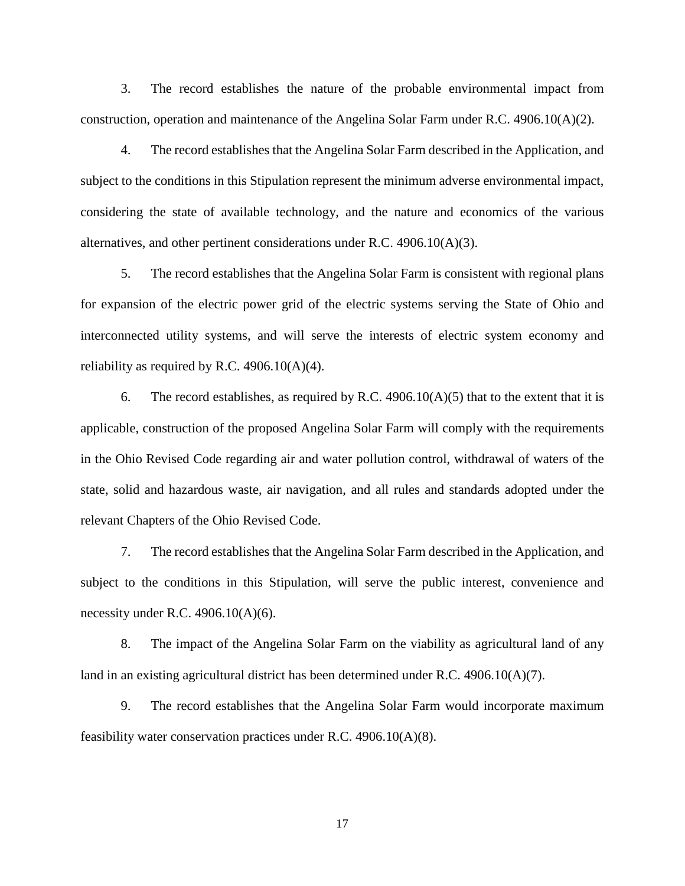3. The record establishes the nature of the probable environmental impact from construction, operation and maintenance of the Angelina Solar Farm under R.C. 4906.10(A)(2).

4. The record establishes that the Angelina Solar Farm described in the Application, and subject to the conditions in this Stipulation represent the minimum adverse environmental impact, considering the state of available technology, and the nature and economics of the various alternatives, and other pertinent considerations under R.C. 4906.10(A)(3).

5. The record establishes that the Angelina Solar Farm is consistent with regional plans for expansion of the electric power grid of the electric systems serving the State of Ohio and interconnected utility systems, and will serve the interests of electric system economy and reliability as required by R.C.  $4906.10(A)(4)$ .

6. The record establishes, as required by R.C. 4906.10(A)(5) that to the extent that it is applicable, construction of the proposed Angelina Solar Farm will comply with the requirements in the Ohio Revised Code regarding air and water pollution control, withdrawal of waters of the state, solid and hazardous waste, air navigation, and all rules and standards adopted under the relevant Chapters of the Ohio Revised Code.

7. The record establishes that the Angelina Solar Farm described in the Application, and subject to the conditions in this Stipulation, will serve the public interest, convenience and necessity under R.C.  $4906.10(A)(6)$ .

8. The impact of the Angelina Solar Farm on the viability as agricultural land of any land in an existing agricultural district has been determined under R.C. 4906.10(A)(7).

9. The record establishes that the Angelina Solar Farm would incorporate maximum feasibility water conservation practices under R.C. 4906.10(A)(8).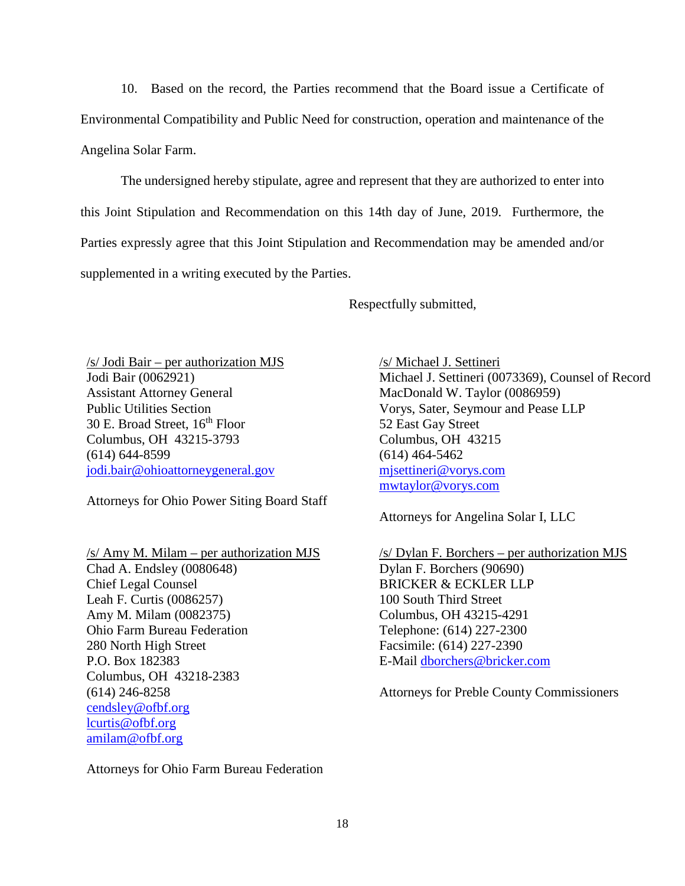10. Based on the record, the Parties recommend that the Board issue a Certificate of Environmental Compatibility and Public Need for construction, operation and maintenance of the Angelina Solar Farm.

The undersigned hereby stipulate, agree and represent that they are authorized to enter into this Joint Stipulation and Recommendation on this 14th day of June, 2019. Furthermore, the Parties expressly agree that this Joint Stipulation and Recommendation may be amended and/or supplemented in a writing executed by the Parties.

Respectfully submitted,

/s/ Jodi Bair – per authorization MJS Jodi Bair (0062921) Assistant Attorney General Public Utilities Section 30 E. Broad Street,  $16<sup>th</sup>$  Floor Columbus, OH 43215-3793 (614) 644-8599 jodi.bair@ohioattorneygeneral.gov

Attorneys for Ohio Power Siting Board Staff

 $/s/$  Amy M. Milam – per authorization MJS Chad A. Endsley (0080648) Chief Legal Counsel Leah F. Curtis (0086257) Amy M. Milam (0082375) Ohio Farm Bureau Federation 280 North High Street P.O. Box 182383 Columbus, OH 43218-2383 (614) 246-8258 cendsley@ofbf.org lcurtis@ofbf.org amilam@ofbf.org

Attorneys for Ohio Farm Bureau Federation

/s/ Michael J. Settineri Michael J. Settineri (0073369), Counsel of Record MacDonald W. Taylor (0086959) Vorys, Sater, Seymour and Pease LLP 52 East Gay Street Columbus, OH 43215 (614) 464-5462 mjsettineri@vorys.com mwtaylor@vorys.com

Attorneys for Angelina Solar I, LLC

/s/ Dylan F. Borchers – per authorization MJS Dylan F. Borchers (90690) BRICKER & ECKLER LLP 100 South Third Street Columbus, OH 43215-4291 Telephone: (614) 227-2300 Facsimile: (614) 227-2390 E-Mail dborchers@bricker.com

Attorneys for Preble County Commissioners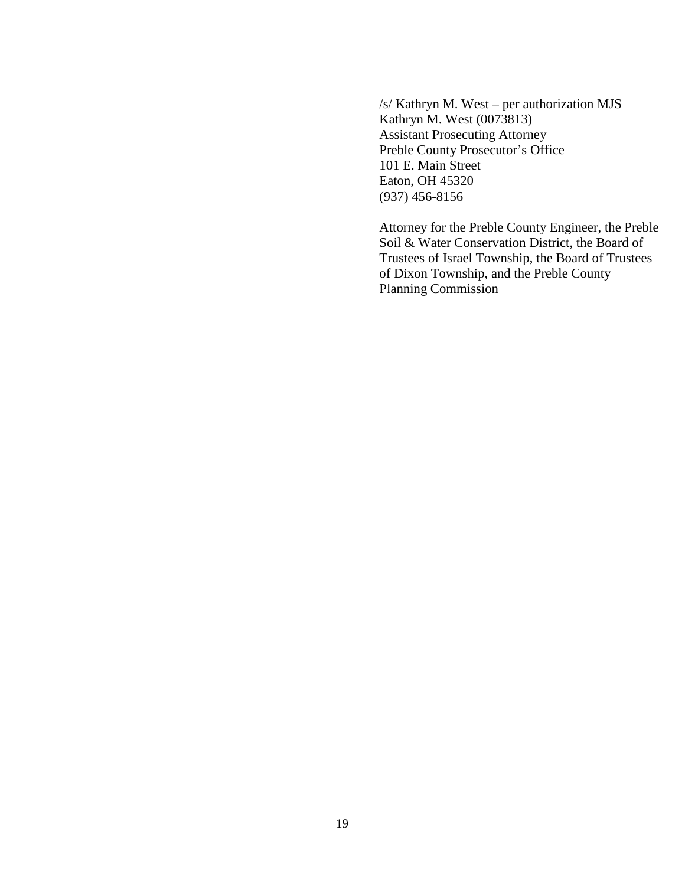/s/ Kathryn M. West – per authorization MJS Kathryn M. West (0073813) Assistant Prosecuting Attorney Preble County Prosecutor's Office 101 E. Main Street Eaton, OH 45320 (937) 456-8156

Attorney for the Preble County Engineer, the Preble Soil & Water Conservation District, the Board of Trustees of Israel Township, the Board of Trustees of Dixon Township, and the Preble County Planning Commission